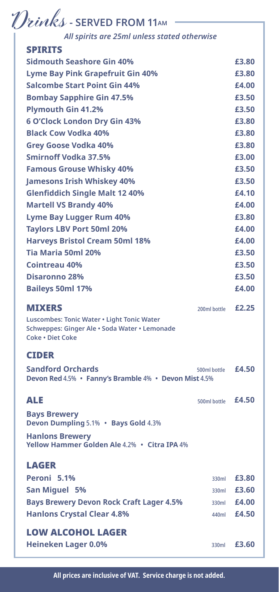# $\mathcal{D}$ *inks* - SERVED FROM 11AM

# *All spirits are 25ml unless stated otherwise*

| <b>SPIRITS</b>                                        |              |                    |
|-------------------------------------------------------|--------------|--------------------|
| <b>Sidmouth Seashore Gin 40%</b>                      |              | £3.80              |
| <b>Lyme Bay Pink Grapefruit Gin 40%</b>               |              | £3.80              |
| <b>Salcombe Start Point Gin 44%</b>                   |              | £4.00              |
| <b>Bombay Sapphire Gin 47.5%</b>                      |              | £3.50              |
| <b>Plymouth Gin 41.2%</b>                             |              | £3.50              |
| <b>6 O'Clock London Dry Gin 43%</b>                   |              | £3.80              |
| <b>Black Cow Vodka 40%</b>                            |              | £3.80              |
| <b>Grey Goose Vodka 40%</b>                           |              | £3.80              |
| <b>Smirnoff Vodka 37.5%</b>                           |              | £3.00              |
| <b>Famous Grouse Whisky 40%</b>                       |              | £3.50              |
| <b>Jamesons Irish Whiskey 40%</b>                     |              | £3.50              |
| <b>Glenfiddich Single Malt 12 40%</b>                 |              | £4.10              |
| <b>Martell VS Brandy 40%</b>                          |              | £4.00              |
| <b>Lyme Bay Lugger Rum 40%</b>                        |              | £3.80              |
| <b>Taylors LBV Port 50ml 20%</b>                      |              | £4.00              |
| <b>Harveys Bristol Cream 50ml 18%</b>                 |              | £4.00              |
| Tia Maria 50ml 20%                                    |              | £3.50              |
| <b>Cointreau 40%</b>                                  |              | £3.50              |
| <b>Disaronno 28%</b>                                  |              | £3.50              |
| <b>Baileys 50ml 17%</b>                               |              | £4.00              |
| <b>MIXERS</b>                                         | 200ml bottle | £2.25              |
| Luscombes: Tonic Water . Light Tonic Water            |              |                    |
| Schweppes: Ginger Ale · Soda Water · Lemonade         |              |                    |
| <b>Coke . Diet Coke</b>                               |              |                    |
| <b>CIDER</b>                                          |              |                    |
| <b>Sandford Orchards</b>                              | 500ml bottle | £4.50              |
| Devon Red 4.5% • Fanny's Bramble 4% • Devon Mist 4.5% |              |                    |
| <b>ALE</b>                                            | 500ml bottle | £4.50              |
| <b>Bays Brewery</b>                                   |              |                    |
| Devon Dumpling 5.1% • Bays Gold 4.3%                  |              |                    |
| <b>Hanlons Brewery</b>                                |              |                    |
| Yellow Hammer Golden Ale 4.2% • Citra IPA 4%          |              |                    |
| <b>LAGER</b>                                          |              |                    |
| Peroni 5.1%                                           | 330ml        | £3.80              |
| <b>San Miguel 5%</b>                                  | 330ml        | £3.60              |
| <b>Bays Brewery Devon Rock Craft Lager 4.5%</b>       | 330ml        | £4.00              |
| <b>Hanlons Crystal Clear 4.8%</b>                     | 440ml        | £4.50              |
|                                                       |              |                    |
| <b>LOW ALCOHOL LAGER</b>                              |              |                    |
| <b>Heineken Lager 0.0%</b>                            |              | 330ml <b>£3.60</b> |